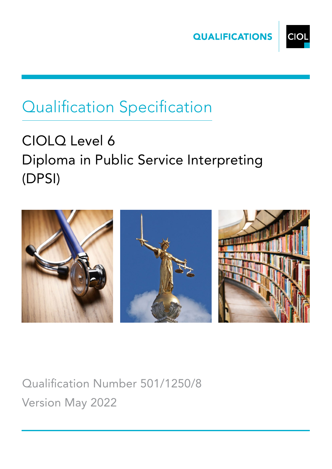



# Qualification Specification

# CIOLQ Level 6 Diploma in Public Service Interpreting (DPSI)



Qualification Number 501/1250/8 Version May 2022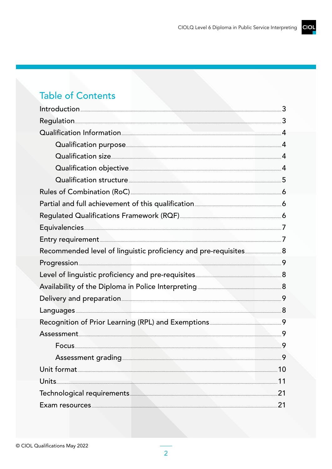# **Table of Contents**

| Introduction 3                                                                                                                                                                                                                      |                |
|-------------------------------------------------------------------------------------------------------------------------------------------------------------------------------------------------------------------------------------|----------------|
| Regulation 23                                                                                                                                                                                                                       |                |
| Qualification Information                                                                                                                                                                                                           |                |
| Qualification purpose <u>communications</u> and the contract of the contract of the contract of the contract of the contract of the contract of the contract of the contract of the contract of the contract of the contract of the | $\overline{A}$ |
| Qualification size 44                                                                                                                                                                                                               |                |
| Qualification objective <u>Canadian Community and Australian and Australian and</u>                                                                                                                                                 |                |
| Qualification structure <b>COLLECTION</b> 5                                                                                                                                                                                         |                |
|                                                                                                                                                                                                                                     |                |
| Partial and full achievement of this qualification <b>manually constant and full</b> achievement of this qualification                                                                                                              |                |
| Regulated Qualifications Framework (RQF) 2008 2010 2020 2031 2040 2040 2041 2050 2041 2042 2040 2041 2042 204                                                                                                                       |                |
|                                                                                                                                                                                                                                     |                |
|                                                                                                                                                                                                                                     |                |
|                                                                                                                                                                                                                                     |                |
|                                                                                                                                                                                                                                     |                |
| Level of linguistic proficiency and pre-requisites <b>COVID-1000</b> 8                                                                                                                                                              |                |
| Availability of the Diploma in Police Interpreting <b>Autor 2016</b> 8                                                                                                                                                              |                |
| Delivery and preparation <b>Executive Contract Contract Present Contract Contract Present Contract Contract Present</b>                                                                                                             |                |
| Languages 38                                                                                                                                                                                                                        |                |
| Recognition of Prior Learning (RPL) and Exemptions <b>Example 2018</b> 9                                                                                                                                                            |                |
| Assessment 9                                                                                                                                                                                                                        |                |
|                                                                                                                                                                                                                                     | 9              |
|                                                                                                                                                                                                                                     | 9              |
| Unit format 10                                                                                                                                                                                                                      |                |
|                                                                                                                                                                                                                                     | 11             |
| Technological requirements <b>Executive Service Contract 21</b>                                                                                                                                                                     |                |
|                                                                                                                                                                                                                                     | 21             |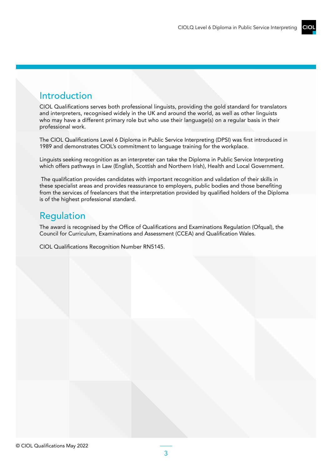## Introduction

CIOL Qualifications serves both professional linguists, providing the gold standard for translators and interpreters, recognised widely in the UK and around the world, as well as other linguists who may have a different primary role but who use their language(s) on a regular basis in their professional work.

The CIOL Qualifications Level 6 Diploma in Public Service Interpreting (DPSI) was first introduced in 1989 and demonstrates CIOL's commitment to language training for the workplace.

Linguists seeking recognition as an interpreter can take the Diploma in Public Service Interpreting which offers pathways in Law (English, Scottish and Northern Irish), Health and Local Government.

 The qualification provides candidates with important recognition and validation of their skills in these specialist areas and provides reassurance to employers, public bodies and those benefiting from the services of freelancers that the interpretation provided by qualified holders of the Diploma is of the highest professional standard.

## Regulation

The award is recognised by the Office of Qualifications and Examinations Regulation (Ofqual), the Council for Curriculum, Examinations and Assessment (CCEA) and Qualification Wales.

CIOL Qualifications Recognition Number RN5145.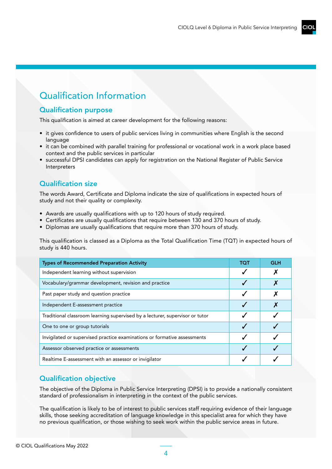# Qualification Information

## Qualification purpose

This qualification is aimed at career development for the following reasons:

- it gives confidence to users of public services living in communities where English is the second language
- it can be combined with parallel training for professional or vocational work in a work place based context and the public services in particular
- successful DPSI candidates can apply for registration on the National Register of Public Service Interpreters

## Qualification size

The words Award, Certificate and Diploma indicate the size of qualifications in expected hours of study and not their quality or complexity.

- Awards are usually qualifications with up to 120 hours of study required.
- Certificates are usually qualifications that require between 130 and 370 hours of study.
- Diplomas are usually qualifications that require more than 370 hours of study.

This qualification is classed as a Diploma as the Total Qualification Time (TQT) in expected hours of study is 440 hours.

| <b>Types of Recommended Preparation Activity</b>                             | тот | <b>GLH</b> |
|------------------------------------------------------------------------------|-----|------------|
| Independent learning without supervision                                     |     |            |
| Vocabulary/grammar development, revision and practice                        |     |            |
| Past paper study and question practice                                       |     |            |
| Independent E-assessment practice                                            |     |            |
| Traditional classroom learning supervised by a lecturer, supervisor or tutor |     |            |
| One to one or group tutorials                                                |     |            |
| Invigilated or supervised practice examinations or formative assessments     |     |            |
| Assessor observed practice or assessments                                    |     |            |
| Realtime E-assessment with an assessor or invigilator                        |     |            |

## Qualification objective

The objective of the Diploma in Public Service Interpreting (DPSI) is to provide a nationally consistent standard of professionalism in interpreting in the context of the public services.

The qualification is likely to be of interest to public services staff requiring evidence of their language skills, those seeking accreditation of language knowledge in this specialist area for which they have no previous qualification, or those wishing to seek work within the public service areas in future.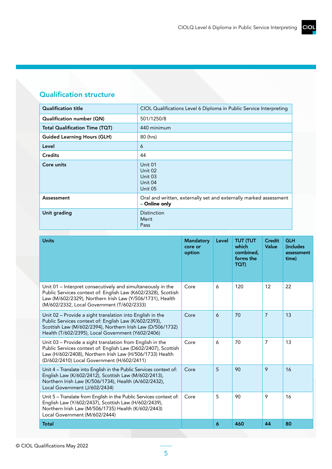## Qualification structure

| <b>Qualification title</b>            | CIOL Qualifications Level 6 Diploma in Public Service Interpreting                 |
|---------------------------------------|------------------------------------------------------------------------------------|
| Qualification number (QN)             | 501/1250/8                                                                         |
| <b>Total Qualification Time (TQT)</b> | 440 minimum                                                                        |
| <b>Guided Learning Hours (GLH)</b>    | 80 (hrs)                                                                           |
| Level                                 | 6                                                                                  |
| <b>Credits</b>                        | 44                                                                                 |
| Core units                            | Unit 01<br>Unit 02<br>Unit 03<br>Unit 04<br>Unit 05                                |
| Assessment                            | Oral and written, externally set and externally marked assessment<br>- Online only |
| Unit grading                          | <b>Distinction</b><br>Merit<br>Pass                                                |

| <b>Units</b>                                                                                                                                                                                                                            | <b>Mandatory</b><br>core or<br>option | Level | <b>TUT (TUT</b><br>which<br>combined.<br>forms the<br>TQT) | <b>Credit</b><br>Value | <b>GLH</b><br><i><b>(includes)</b></i><br>assessment<br>time) |
|-----------------------------------------------------------------------------------------------------------------------------------------------------------------------------------------------------------------------------------------|---------------------------------------|-------|------------------------------------------------------------|------------------------|---------------------------------------------------------------|
| Unit 01 - Interpret consecutively and simultaneously in the<br>Public Services context of: English Law (K602/2328), Scottish<br>Law (M/602/2329), Northern Irish Law (Y/506/1731), Health<br>(M/602/2332, Local Government (T/602/2333) | Core                                  | 6     | 120                                                        | 12                     | 22                                                            |
| Unit 02 - Provide a sight translation into English in the<br>Public Services context of: English Law (K/602/2393),<br>Scottish Law (M/602/2394), Northern Irish Law (D/506/1732)<br>Health (T/602/2395), Local Government (Y602/2406)   | Core                                  | 6     | 70                                                         | $\overline{7}$         | 13                                                            |
| Unit 03 - Provide a sight translation from English in the<br>Public Services context of: English Law (D602/2407), Scottish<br>Law (H/602/2408), Northern Irish Law (H/506/1733) Health<br>(D/602/2410) Local Government (H/602/2411)    | Core                                  | 6     | 70                                                         | 7                      | 13                                                            |
| Unit 4 - Translate into English in the Public Services context of:<br>English Law (K/602/2412), Scottish Law (M/602/2413),<br>Northern Irish Law (K/506/1734), Health (A/602/2432),<br>Local Government (J/602/2434)                    | Core                                  | 5     | 90                                                         | 9                      | 16                                                            |
| Unit 5 - Translate from English in the Public Services context of:<br>English Law (Y/602/2437), Scottish Law (H/602/2439),<br>Northern Irish Law (M/506/1735) Health (K/602/2443)<br>Local Government (M/602/2444)                      | Core                                  | 5     | 90                                                         | 9                      | 16                                                            |
| <b>Total</b>                                                                                                                                                                                                                            |                                       | 6     | 460                                                        | 44                     | 80                                                            |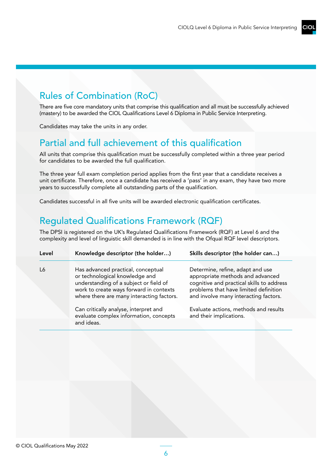# Rules of Combination (RoC)

There are five core mandatory units that comprise this qualification and all must be successfully achieved (mastery) to be awarded the CIOL Qualifications Level 6 Diploma in Public Service Interpreting.

Candidates may take the units in any order.

# Partial and full achievement of this qualification

All units that comprise this qualification must be successfully completed within a three year period for candidates to be awarded the full qualification.

The three year full exam completion period applies from the first year that a candidate receives a unit certificate. Therefore, once a candidate has received a 'pass' in any exam, they have two more years to successfully complete all outstanding parts of the qualification.

Candidates successful in all five units will be awarded electronic qualification certificates.

# Regulated Qualifications Framework (RQF)

The DPSI is registered on the UK's Regulated Qualifications Framework (RQF) at Level 6 and the complexity and level of linguistic skill demanded is in line with the Ofqual RQF level descriptors.

| Level | Knowledge descriptor (the holder)                                                                                                                                                                      | Skills descriptor (the holder can)                                                                                                                                                                  |
|-------|--------------------------------------------------------------------------------------------------------------------------------------------------------------------------------------------------------|-----------------------------------------------------------------------------------------------------------------------------------------------------------------------------------------------------|
| L6    | Has advanced practical, conceptual<br>or technological knowledge and<br>understanding of a subject or field of<br>work to create ways forward in contexts<br>where there are many interacting factors. | Determine, refine, adapt and use<br>appropriate methods and advanced<br>cognitive and practical skills to address<br>problems that have limited definition<br>and involve many interacting factors. |
|       | Can critically analyse, interpret and<br>evaluate complex information, concepts                                                                                                                        | Evaluate actions, methods and results<br>and their implications.                                                                                                                                    |
|       | and ideas.                                                                                                                                                                                             |                                                                                                                                                                                                     |

6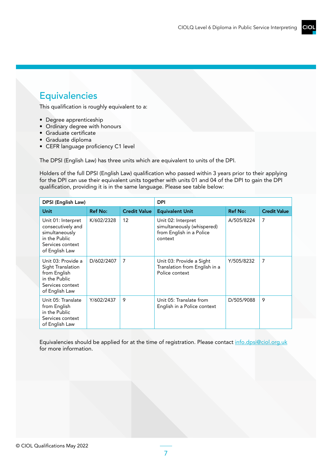## CIOI

# Equivalencies

This qualification is roughly equivalent to a:

- Degree apprenticeship
- Ordinary degree with honours
- Graduate certificate
- Graduate diploma
- CEFR language proficiency C1 level

The DPSI (English Law) has three units which are equivalent to units of the DPI.

Holders of the full DPSI (English Law) qualification who passed within 3 years prior to their applying for the DPI can use their equivalent units together with units 01 and 04 of the DPI to gain the DPI qualification, providing it is in the same language. Please see table below:

| DPSI (English Law)                                                                                               |                | <b>DPI</b>          |                                                                                         |                |                     |
|------------------------------------------------------------------------------------------------------------------|----------------|---------------------|-----------------------------------------------------------------------------------------|----------------|---------------------|
| <b>Unit</b>                                                                                                      | <b>Ref No:</b> | <b>Credit Value</b> | <b>Equivalent Unit</b>                                                                  | <b>Ref No:</b> | <b>Credit Value</b> |
| Unit 01: Interpret<br>consecutively and<br>simultaneously<br>in the Public<br>Services context<br>of English Law | K/602/2328     | 12                  | Unit 02: Interpret<br>simultaneously (whispered)<br>from English in a Police<br>context | A/505/8224     | 7                   |
| Unit 03: Provide a<br>Sight Translation<br>from English<br>in the Public<br>Services context<br>of English Law   | D/602/2407     | 7                   | Unit 03: Provide a Sight<br>Translation from English in a<br>Police context             | Y/505/8232     | 7                   |
| Unit 05: Translate<br>from English<br>in the Public<br>Services context<br>of English Law                        | Y/602/2437     | 9                   | Unit 05: Translate from<br>English in a Police context                                  | D/505/9088     | 9                   |

Equivalencies should be applied for at the time of registration. Please contact [info.dpsi@ciol.org.uk](mailto:info.dpsi%40ciol.org.uk?subject=) for more information.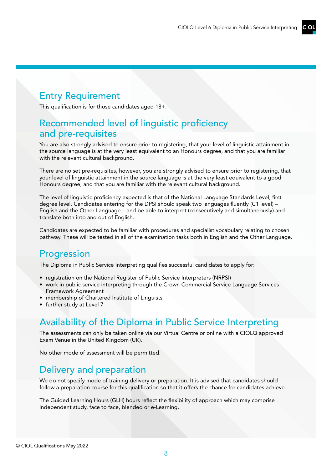# Entry Requirement

This qualification is for those candidates aged 18+.

## Recommended level of linguistic proficiency and pre-requisites

You are also strongly advised to ensure prior to registering, that your level of linguistic attainment in the source language is at the very least equivalent to an Honours degree, and that you are familiar with the relevant cultural background.

There are no set pre-requisites, however, you are strongly advised to ensure prior to registering, that your level of linguistic attainment in the source language is at the very least equivalent to a good Honours degree, and that you are familiar with the relevant cultural background.

The level of linguistic proficiency expected is that of the National Language Standards Level, first degree level. Candidates entering for the DPSI should speak two languages fluently (C1 level) – English and the Other Language – and be able to interpret (consecutively and simultaneously) and translate both into and out of English.

Candidates are expected to be familiar with procedures and specialist vocabulary relating to chosen pathway. These will be tested in all of the examination tasks both in English and the Other Language.

# **Progression**

The Diploma in Public Service Interpreting qualifies successful candidates to apply for:

- registration on the National Register of Public Service Interpreters (NRPSI)
- work in public service interpreting through the Crown Commercial Service Language Services Framework Agreement
- membership of Chartered Institute of Linguists
- further study at Level 7

## Availability of the Diploma in Public Service Interpreting

The assessments can only be taken online via our Virtual Centre or online with a CIOLQ approved Exam Venue in the United Kingdom (UK).

No other mode of assessment will be permitted.

## Delivery and preparation

We do not specify mode of training delivery or preparation. It is advised that candidates should follow a preparation course for this qualification so that it offers the chance for candidates achieve.

The Guided Learning Hours (GLH) hours reflect the flexibility of approach which may comprise independent study, face to face, blended or e-Learning.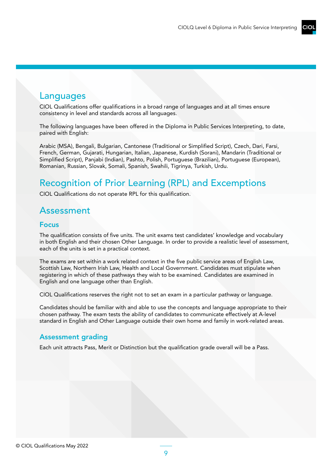## Languages

CIOL Qualifications offer qualifications in a broad range of languages and at all times ensure consistency in level and standards across all languages.

The following languages have been offered in the Diploma in Public Services Interpreting, to date, paired with English:

Arabic (MSA), Bengali, Bulgarian, Cantonese (Traditional or Simplified Script), Czech, Dari, Farsi, French, German, Gujarati, Hungarian, Italian, Japanese, Kurdish (Sorani), Mandarin (Traditional or Simplified Script), Panjabi (Indian), Pashto, Polish, Portuguese (Brazilian), Portuguese (European), Romanian, Russian, Slovak, Somali, Spanish, Swahili, Tigrinya, Turkish, Urdu.

# Recognition of Prior Learning (RPL) and Excemptions

CIOL Qualifications do not operate RPL for this qualification.

## Assessment

#### Focus

The qualification consists of five units. The unit exams test candidates' knowledge and vocabulary in both English and their chosen Other Language. In order to provide a realistic level of assessment, each of the units is set in a practical context.

The exams are set within a work related context in the five public service areas of English Law, Scottish Law, Northern Irish Law, Health and Local Government. Candidates must stipulate when registering in which of these pathways they wish to be examined. Candidates are examined in English and one language other than English.

CIOL Qualifications reserves the right not to set an exam in a particular pathway or language.

Candidates should be familiar with and able to use the concepts and language appropriate to their chosen pathway. The exam tests the ability of candidates to communicate effectively at A-level standard in English and Other Language outside their own home and family in work-related areas.

#### Assessment grading

Each unit attracts Pass, Merit or Distinction but the qualification grade overall will be a Pass.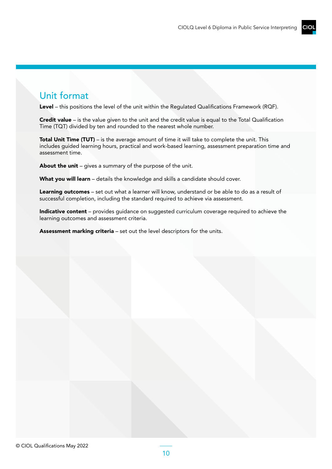## Unit format

Level – this positions the level of the unit within the Regulated Qualifications Framework (RQF).

Credit value – is the value given to the unit and the credit value is equal to the Total Qualification Time (TQT) divided by ten and rounded to the nearest whole number.

Total Unit Time (TUT) – is the average amount of time it will take to complete the unit. This includes guided learning hours, practical and work-based learning, assessment preparation time and assessment time.

About the unit - gives a summary of the purpose of the unit.

What you will learn - details the knowledge and skills a candidate should cover.

Learning outcomes - set out what a learner will know, understand or be able to do as a result of successful completion, including the standard required to achieve via assessment.

Indicative content – provides quidance on suggested curriculum coverage required to achieve the learning outcomes and assessment criteria.

Assessment marking criteria - set out the level descriptors for the units.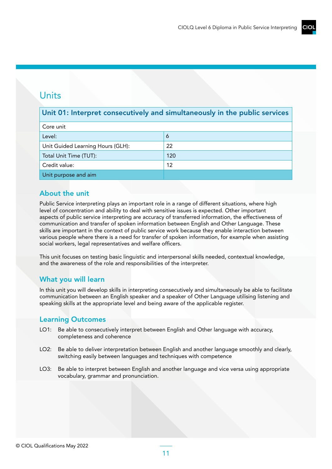## Units

## Unit 01: Interpret consecutively and simultaneously in the public services

| Core unit                         |     |
|-----------------------------------|-----|
| Level:                            | 6   |
| Unit Guided Learning Hours (GLH): | 22  |
| Total Unit Time (TUT):            | 120 |
| Credit value:                     | 12  |
| Unit purpose and aim              |     |

## About the unit

Public Service interpreting plays an important role in a range of different situations, where high level of concentration and ability to deal with sensitive issues is expected. Other important aspects of public service interpreting are accuracy of transferred information, the effectiveness of communication and transfer of spoken information between English and Other Language. These skills are important in the context of public service work because they enable interaction between various people where there is a need for transfer of spoken information, for example when assisting social workers, legal representatives and welfare officers.

This unit focuses on testing basic linguistic and interpersonal skills needed, contextual knowledge, and the awareness of the role and responsibilities of the interpreter.

## What you will learn

In this unit you will develop skills in interpreting consecutively and simultaneously be able to facilitate communication between an English speaker and a speaker of Other Language utilising listening and speaking skills at the appropriate level and being aware of the applicable register.

- LO1: Be able to consecutively interpret between English and Other language with accuracy, completeness and coherence
- LO2: Be able to deliver interpretation between English and another language smoothly and clearly, switching easily between languages and techniques with competence
- LO3: Be able to interpret between English and another language and vice versa using appropriate vocabulary, grammar and pronunciation.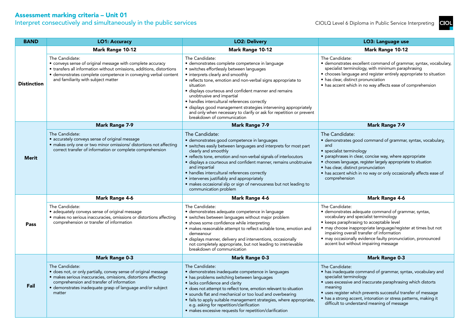Interpret consecutively and simultaneously in the public services

| <b>BAND</b>        | <b>LO1: Accuracy</b>                                                                                                                                                                                                                                                     | <b>LO2: Delivery</b>                                                                                                                                                                                                                                                                                                                                                                                                                                                                                                                          | LO3: Language use                                                                                                                                                                                                                                                                                                                                                                |
|--------------------|--------------------------------------------------------------------------------------------------------------------------------------------------------------------------------------------------------------------------------------------------------------------------|-----------------------------------------------------------------------------------------------------------------------------------------------------------------------------------------------------------------------------------------------------------------------------------------------------------------------------------------------------------------------------------------------------------------------------------------------------------------------------------------------------------------------------------------------|----------------------------------------------------------------------------------------------------------------------------------------------------------------------------------------------------------------------------------------------------------------------------------------------------------------------------------------------------------------------------------|
|                    | Mark Range 10-12                                                                                                                                                                                                                                                         | Mark Range 10-12                                                                                                                                                                                                                                                                                                                                                                                                                                                                                                                              | Mark Range 10-12                                                                                                                                                                                                                                                                                                                                                                 |
| <b>Distinction</b> | The Candidate:<br>• conveys sense of original message with complete accuracy<br>• transfers all information without omissions, additions, distortions<br>· demonstrates complete competence in conveying verbal content<br>and familiarity with subject matter           | The Candidate:<br>· demonstrates complete competence in language<br>• switches effortlessly between languages<br>• interprets clearly and smoothly<br>• reflects tone, emotion and non-verbal signs appropriate to<br>situation<br>· displays courteous and confident manner and remains<br>unobtrusive and impartial<br>• handles intercultural references correctly<br>· displays good management strategies intervening appropriately<br>and only when necessary to clarify or ask for repetition or prevent<br>breakdown of communication | The Candidate:<br>· demonstrates excellent command of grammar, syntax, vocabulary,<br>specialist terminology, with minimum paraphrasing<br>• chooses language and register entirely appropriate to situation<br>• has clear, distinct pronunciation<br>• has accent which in no way affects ease of comprehension                                                                |
|                    | <b>Mark Range 7-9</b>                                                                                                                                                                                                                                                    | <b>Mark Range 7-9</b>                                                                                                                                                                                                                                                                                                                                                                                                                                                                                                                         | <b>Mark Range 7-9</b>                                                                                                                                                                                                                                                                                                                                                            |
| <b>Merit</b>       | The Candidate:<br>· accurately conveys sense of original message<br>· makes only one or two minor omissions/ distortions not affecting<br>correct transfer of information or complete comprehension                                                                      | The Candidate:<br>· demonstrates good competence in languages<br>· switches easily between languages and interprets for most part<br>clearly and smoothly<br>• reflects tone, emotion and non-verbal signals of interlocutors<br>· displays a courteous and confident manner, remains unobtrusive<br>and impartial<br>• handles intercultural references correctly<br>• intervenes justifiably and appropriately<br>· makes occasional slip or sign of nervousness but not leading to<br>communication problem                                | The Candidate:<br>· demonstrates good command of grammar, syntax, vocabulary,<br>and<br>· specialist terminology<br>· paraphrases in clear, concise way, where appropriate<br>· chooses language, register largely appropriate to situation<br>• has clear, distinct pronunciation<br>• has accent which in no way or only occasionally affects ease of<br>comprehension         |
|                    | <b>Mark Range 4-6</b>                                                                                                                                                                                                                                                    | <b>Mark Range 4-6</b>                                                                                                                                                                                                                                                                                                                                                                                                                                                                                                                         | <b>Mark Range 4-6</b>                                                                                                                                                                                                                                                                                                                                                            |
| Pass               | The Candidate:<br>· adequately conveys sense of original message<br>· makes no serious inaccuracies, omissions or distortions affecting<br>comprehension or transfer of information                                                                                      | The Candidate:<br>• demonstrates adequate competence in language<br>· switches between languages without major problem<br>· shows some confidence while interpreting<br>• makes reasonable attempt to reflect suitable tone, emotion and<br>demeanour<br>· displays manner, delivery and interventions, occasionally<br>not completely appropriate, but not leading to irretrievable<br>breakdown of communication                                                                                                                            | The Candidate:<br>· demonstrates adequate command of grammar, syntax,<br>vocabulary and specialist terminology<br>• keeps paraphrasing to acceptable level<br>· may choose inappropriate language/register at times but not<br>impairing overall transfer of information<br>· may occasionally evidence faulty pronunciation, pronounced<br>accent but without impairing message |
|                    | <b>Mark Range 0-3</b>                                                                                                                                                                                                                                                    | <b>Mark Range 0-3</b>                                                                                                                                                                                                                                                                                                                                                                                                                                                                                                                         | <b>Mark Range 0-3</b>                                                                                                                                                                                                                                                                                                                                                            |
| Fail               | The Candidate:<br>· does not, or only partially, convey sense of original message<br>· makes serious inaccuracies, omissions, distortions affecting<br>comprehension and transfer of information<br>• demonstrates inadequate grasp of language and/or subject<br>matter | The Candidate:<br>· demonstrates inadequate competence in languages<br>• has problems switching between languages<br>· lacks confidence and clarity<br>· does not attempt to reflect tone, emotion relevant to situation<br>· sounds flat and mechanical or too loud and overbearing<br>· fails to apply suitable management strategies, where appropriate,<br>e.g. asking for repetition/clarification<br>• makes excessive requests for repetition/clarification                                                                            | The Candidate:<br>• has inadequate command of grammar, syntax, vocabulary and<br>specialist terminology<br>• uses excessive and inaccurate paraphrasing which distorts<br>meaning<br>• uses register which prevents successful transfer of message<br>• has a strong accent, intonation or stress patterns, making it<br>difficult to understand meaning of message              |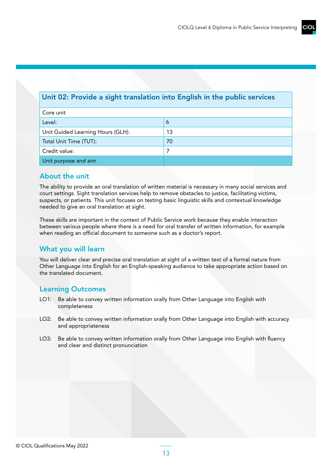## Unit 02: Provide a sight translation into English in the public services

| Core unit                         |    |  |
|-----------------------------------|----|--|
| Level:                            | 6  |  |
| Unit Guided Learning Hours (GLH): | 13 |  |
| Total Unit Time (TUT):            | 70 |  |
| Credit value:                     |    |  |
| Unit purpose and aim              |    |  |

## About the unit

The ability to provide an oral translation of written material is necessary in many social services and court settings. Sight translation services help to remove obstacles to justice, facilitating victims, suspects, or patients. This unit focuses on testing basic linguistic skills and contextual knowledge needed to give an oral translation at sight.

These skills are important in the context of Public Service work because they enable interaction between various people where there is a need for oral transfer of written information, for example when reading an official document to someone such as a doctor's report.

## What you will learn

You will deliver clear and precise oral translation at sight of a written text of a formal nature from Other Language into English for an English-speaking audience to take appropriate action based on the translated document.

- LO1: Be able to convey written information orally from Other Language into English with completeness
- LO2: Be able to convey written information orally from Other Language into English with accuracy and appropriateness
- LO3: Be able to convey written information orally from Other Language into English with fluency and clear and distinct pronunciation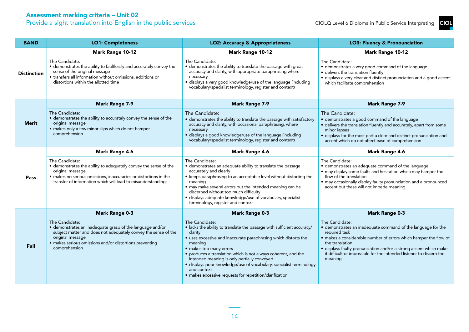Provide a sight translation into English in the public services

| <b>BAND</b>        | <b>LO1: Completeness</b>                                                                                                                                                                                                                      | <b>LO2: Accuracy &amp; Appropriateness</b>                                                                                                                                                                                                                                                                                                                                                                                                                                     | <b>LO3: Fluency &amp; Pronounciation</b>                                                                                                                                                                                                                                                                                                      |
|--------------------|-----------------------------------------------------------------------------------------------------------------------------------------------------------------------------------------------------------------------------------------------|--------------------------------------------------------------------------------------------------------------------------------------------------------------------------------------------------------------------------------------------------------------------------------------------------------------------------------------------------------------------------------------------------------------------------------------------------------------------------------|-----------------------------------------------------------------------------------------------------------------------------------------------------------------------------------------------------------------------------------------------------------------------------------------------------------------------------------------------|
|                    | <b>Mark Range 10-12</b>                                                                                                                                                                                                                       | <b>Mark Range 10-12</b>                                                                                                                                                                                                                                                                                                                                                                                                                                                        | <b>Mark Range 10-12</b>                                                                                                                                                                                                                                                                                                                       |
| <b>Distinction</b> | The Candidate:<br>· demonstrates the ability to faultlessly and accurately convey the<br>sense of the original message<br>• transfers all information without omissions, additions or<br>distortions within the allotted time                 | The Candidate:<br>• demonstrates the ability to translate the passage with great<br>accuracy and clarity, with appropriate paraphrasing where<br>necessary<br>· displays a very good knowledge/use of the language (including<br>vocabulary/specialist terminology, register and context)                                                                                                                                                                                      | The Candidate:<br>• demonstrates a very good command of the language<br>· delivers the translation fluently<br>· displays a very clear and distinct pronunciation and a good accent<br>which facilitate comprehension                                                                                                                         |
|                    | <b>Mark Range 7-9</b>                                                                                                                                                                                                                         | <b>Mark Range 7-9</b>                                                                                                                                                                                                                                                                                                                                                                                                                                                          | <b>Mark Range 7-9</b>                                                                                                                                                                                                                                                                                                                         |
| <b>Merit</b>       | The Candidate:<br>• demonstrates the ability to accurately convey the sense of the<br>original message<br>· makes only a few minor slips which do not hamper<br>comprehension                                                                 | The Candidate:<br>• demonstrates the ability to translate the passage with satisfactory<br>accuracy and clarity, with occasional paraphrasing, where<br>necessary<br>· displays a good knowledge/use of the language (including<br>vocabulary/specialist terminology, register and context)                                                                                                                                                                                    | The Candidate:<br>• demonstrates a good command of the language<br>· delivers the translation fluently and accurately, apart from some<br>minor lapses<br>· displays for the most part a clear and distinct pronunciation and<br>accent which do not affect ease of comprehension                                                             |
|                    | <b>Mark Range 4-6</b>                                                                                                                                                                                                                         | <b>Mark Range 4-6</b>                                                                                                                                                                                                                                                                                                                                                                                                                                                          | <b>Mark Range 4-6</b>                                                                                                                                                                                                                                                                                                                         |
| Pass               | The Candidate:<br>· demonstrates the ability to adequately convey the sense of the<br>original message<br>· makes no serious omissions, inaccuracies or distortions in the<br>transfer of information which will lead to misunderstandings    | The Candidate:<br>· demonstrates an adequate ability to translate the passage<br>accurately and clearly<br>• keeps paraphrasing to an acceptable level without distorting the<br>meaning<br>• may make several errors but the intended meaning can be<br>discerned without too much difficulty<br>· displays adequate knowledge/use of vocabulary, specialist<br>terminology, register and context                                                                             | The Candidate:<br>· demonstrates an adequate command of the language<br>• may display some faults and hesitation which may hamper the<br>flow of the translation<br>· may occasionally display faulty pronunciation and a pronounced<br>accent but these will not impede meaning                                                              |
|                    | <b>Mark Range 0-3</b>                                                                                                                                                                                                                         | <b>Mark Range 0-3</b>                                                                                                                                                                                                                                                                                                                                                                                                                                                          | <b>Mark Range 0-3</b>                                                                                                                                                                                                                                                                                                                         |
| Fail               | The Candidate:<br>· demonstrates an inadequate grasp of the language and/or<br>subject matter and does not adequately convey the sense of the<br>original message<br>· makes serious omissions and/or distortions preventing<br>comprehension | The Candidate:<br>• lacks the ability to translate the passage with sufficient accuracy/<br>clarity<br>• uses excessive and inaccurate paraphrasing which distorts the<br>meaning<br>• makes too many errors<br>• produces a translation which is not always coherent, and the<br>intended meaning is only partially conveyed<br>· displays poor knowledge/use of vocabulary, specialist terminology<br>and context<br>• makes excessive requests for repetition/clarification | The Candidate:<br>• demonstrates an inadequate command of the language for the<br>required task<br>• makes a considerable number of errors which hamper the flow of<br>the translation<br>· displays faulty pronunciation and/or a strong accent which make<br>it difficult or impossible for the intended listener to discern the<br>meaning |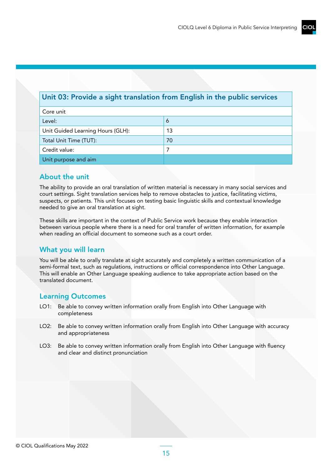## Unit 03: Provide a sight translation from English in the public services

| Core unit                         |    |  |
|-----------------------------------|----|--|
| Level:                            | Ō  |  |
| Unit Guided Learning Hours (GLH): | 13 |  |
| Total Unit Time (TUT):            | 70 |  |
| Credit value:                     |    |  |
| Unit purpose and aim              |    |  |

#### About the unit

The ability to provide an oral translation of written material is necessary in many social services and court settings. Sight translation services help to remove obstacles to justice, facilitating victims, suspects, or patients. This unit focuses on testing basic linguistic skills and contextual knowledge needed to give an oral translation at sight.

These skills are important in the context of Public Service work because they enable interaction between various people where there is a need for oral transfer of written information, for example when reading an official document to someone such as a court order.

## What you will learn

You will be able to orally translate at sight accurately and completely a written communication of a semi-formal text, such as regulations, instructions or official correspondence into Other Language. This will enable an Other Language speaking audience to take appropriate action based on the translated document.

- LO1: Be able to convey written information orally from English into Other Language with completeness
- LO2: Be able to convey written information orally from English into Other Language with accuracy and appropriateness
- LO3: Be able to convey written information orally from English into Other Language with fluency and clear and distinct pronunciation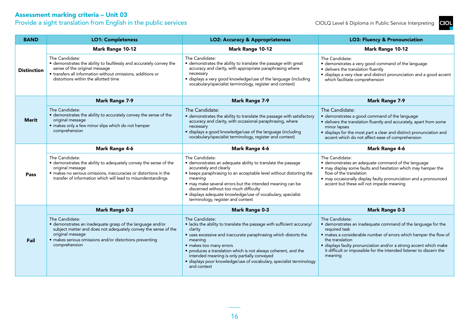Provide a sight translation from English in the public services

| <b>BAND</b>        | <b>LO1: Completeness</b>                                                                                                                                                                                                                      | <b>LO2: Accuracy &amp; Appropriateness</b>                                                                                                                                                                                                                                                                                                                                                                          | <b>LO3: Fluency &amp; Pronounciation</b>                                                                                                                                                                                                                                                                                                      |
|--------------------|-----------------------------------------------------------------------------------------------------------------------------------------------------------------------------------------------------------------------------------------------|---------------------------------------------------------------------------------------------------------------------------------------------------------------------------------------------------------------------------------------------------------------------------------------------------------------------------------------------------------------------------------------------------------------------|-----------------------------------------------------------------------------------------------------------------------------------------------------------------------------------------------------------------------------------------------------------------------------------------------------------------------------------------------|
|                    | Mark Range 10-12                                                                                                                                                                                                                              | Mark Range 10-12                                                                                                                                                                                                                                                                                                                                                                                                    | Mark Range 10-12                                                                                                                                                                                                                                                                                                                              |
| <b>Distinction</b> | The Candidate:<br>· demonstrates the ability to faultlessly and accurately convey the<br>sense of the original message<br>• transfers all information without omissions, additions or<br>distortions within the allotted time                 | The Candidate:<br>• demonstrates the ability to translate the passage with great<br>accuracy and clarity, with appropriate paraphrasing where<br>necessary<br>· displays a very good knowledge/use of the language (including<br>vocabulary/specialist terminology, register and context)                                                                                                                           | The Candidate:<br>• demonstrates a very good command of the language<br>· delivers the translation fluently<br>· displays a very clear and distinct pronunciation and a good accent<br>which facilitate comprehension                                                                                                                         |
|                    | <b>Mark Range 7-9</b>                                                                                                                                                                                                                         | <b>Mark Range 7-9</b>                                                                                                                                                                                                                                                                                                                                                                                               | <b>Mark Range 7-9</b>                                                                                                                                                                                                                                                                                                                         |
| Merit              | The Candidate:<br>• demonstrates the ability to accurately convey the sense of the<br>original message<br>· makes only a few minor slips which do not hamper<br>comprehension                                                                 | The Candidate:<br>· demonstrates the ability to translate the passage with satisfactory<br>accuracy and clarity, with occasional paraphrasing, where<br>necessary<br>· displays a good knowledge/use of the language (including<br>vocabulary/specialist terminology, register and context)                                                                                                                         | The Candidate:<br>· demonstrates a good command of the language<br>· delivers the translation fluently and accurately, apart from some<br>minor lapses<br>· displays for the most part a clear and distinct pronunciation and<br>accent which do not affect ease of comprehension                                                             |
|                    | <b>Mark Range 4-6</b>                                                                                                                                                                                                                         | <b>Mark Range 4-6</b>                                                                                                                                                                                                                                                                                                                                                                                               | <b>Mark Range 4-6</b>                                                                                                                                                                                                                                                                                                                         |
| Pass               | The Candidate:<br>· demonstrates the ability to adequately convey the sense of the<br>original message<br>· makes no serious omissions, inaccuracies or distortions in the<br>transfer of information which will lead to misunderstandings    | The Candidate:<br>· demonstrates an adequate ability to translate the passage<br>accurately and clearly<br>• keeps paraphrasing to an acceptable level without distorting the<br>meaning<br>• may make several errors but the intended meaning can be<br>discerned without too much difficulty<br>· displays adequate knowledge/use of vocabulary, specialist<br>terminology, register and context                  | The Candidate:<br>• demonstrates an adequate command of the language<br>• may display some faults and hesitation which may hamper the<br>flow of the translation<br>• may occasionally display faulty pronunciation and a pronounced<br>accent but these will not impede meaning                                                              |
|                    | <b>Mark Range 0-3</b>                                                                                                                                                                                                                         | <b>Mark Range 0-3</b>                                                                                                                                                                                                                                                                                                                                                                                               | <b>Mark Range 0-3</b>                                                                                                                                                                                                                                                                                                                         |
| Fail               | The Candidate:<br>· demonstrates an inadequate grasp of the language and/or<br>subject matter and does not adequately convey the sense of the<br>original message<br>· makes serious omissions and/or distortions preventing<br>comprehension | The Candidate:<br>• lacks the ability to translate the passage with sufficient accuracy/<br>clarity<br>• uses excessive and inaccurate paraphrasing which distorts the<br>meaning<br>· makes too many errors<br>• produces a translation which is not always coherent, and the<br>intended meaning is only partially conveyed<br>· displays poor knowledge/use of vocabulary, specialist terminology<br>and context | The Candidate:<br>· demonstrates an inadequate command of the language for the<br>required task<br>· makes a considerable number of errors which hamper the flow of<br>the translation<br>· displays faulty pronunciation and/or a strong accent which make<br>it difficult or impossible for the intended listener to discern the<br>meaning |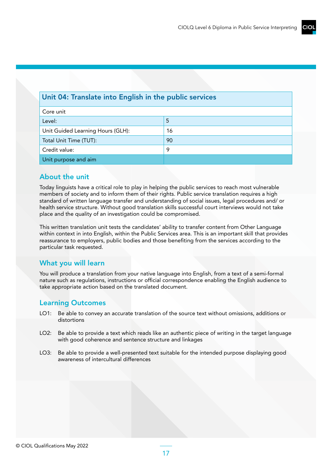#### Unit 04: Translate into English in the public services

| Core unit                         |    |
|-----------------------------------|----|
| Level:                            | 5  |
| Unit Guided Learning Hours (GLH): | 16 |
| Total Unit Time (TUT):            | 90 |
| Credit value:                     | o  |
| Unit purpose and aim              |    |

#### About the unit

Today linguists have a critical role to play in helping the public services to reach most vulnerable members of society and to inform them of their rights. Public service translation requires a high standard of written language transfer and understanding of social issues, legal procedures and/ or health service structure. Without good translation skills successful court interviews would not take place and the quality of an investigation could be compromised.

This written translation unit tests the candidates' ability to transfer content from Other Language within context in into English, within the Public Services area. This is an important skill that provides reassurance to employers, public bodies and those benefiting from the services according to the particular task requested.

## What you will learn

You will produce a translation from your native language into English, from a text of a semi-formal nature such as regulations, instructions or official correspondence enabling the English audience to take appropriate action based on the translated document.

- LO1: Be able to convey an accurate translation of the source text without omissions, additions or distortions
- LO2: Be able to provide a text which reads like an authentic piece of writing in the target language with good coherence and sentence structure and linkages
- LO3: Be able to provide a well-presented text suitable for the intended purpose displaying good awareness of intercultural differences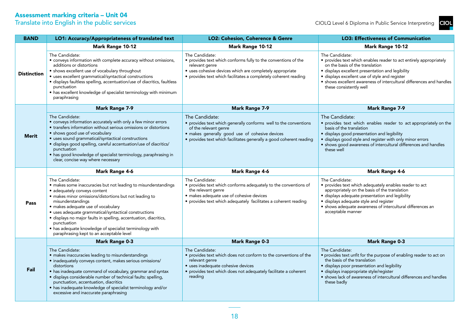|--|

| <b>BAND</b>        | LO1: Accuracy/Appropriateness of translated text                                                                                                                                                                                                                                                                                                                                                                                                                                          | LO2: Cohesion, Coherence & Genre                                                                                                                                                                                                     | <b>LO3: Effectiveness of Communication</b>                                                                                                                                                                                                                                                                                       |
|--------------------|-------------------------------------------------------------------------------------------------------------------------------------------------------------------------------------------------------------------------------------------------------------------------------------------------------------------------------------------------------------------------------------------------------------------------------------------------------------------------------------------|--------------------------------------------------------------------------------------------------------------------------------------------------------------------------------------------------------------------------------------|----------------------------------------------------------------------------------------------------------------------------------------------------------------------------------------------------------------------------------------------------------------------------------------------------------------------------------|
|                    | Mark Range 10-12                                                                                                                                                                                                                                                                                                                                                                                                                                                                          | Mark Range 10-12                                                                                                                                                                                                                     | <b>Mark Range 10-12</b>                                                                                                                                                                                                                                                                                                          |
| <b>Distinction</b> | The Candidate:<br>• conveys information with complete accuracy without omissions,<br>additions or distortions<br>• shows excellent use of vocabulary throughout<br>· uses excellent grammatical/syntactical constructions<br>· displays faultless spelling, accentuation/use of diacritics, faultless<br>punctuation<br>• has excellent knowledge of specialist terminology with minimum<br>paraphrasing                                                                                  | The Candidate:<br>• provides text which conforms fully to the conventions of the<br>relevant genre<br>· uses cohesive devices which are completely appropriate<br>• provides text which facilitates a completely coherent reading    | The Candidate:<br>• provides text which enables reader to act entirely appropriately<br>on the basis of the translation<br>· displays excellent presentation and legibility<br>· displays excellent use of style and register<br>• shows excellent awareness of intercultural differences and handles<br>these consistently well |
|                    | <b>Mark Range 7-9</b>                                                                                                                                                                                                                                                                                                                                                                                                                                                                     | <b>Mark Range 7-9</b>                                                                                                                                                                                                                | <b>Mark Range 7-9</b>                                                                                                                                                                                                                                                                                                            |
| <b>Merit</b>       | The Candidate:<br>• conveys information accurately with only a few minor errors<br>• transfers information without serious omissions or distortions<br>· shows good use of vocabulary<br>• uses sound grammatical/syntactical constructions<br>· displays good spelling, careful accentuation/use of diacritics/<br>punctuation<br>• has good knowledge of specialist terminology, paraphrasing in<br>clear, concise way where necessary                                                  | The Candidate:<br>• provides text which generally conforms well to the conventions<br>of the relevant genre<br>· makes generally good use of cohesive devices<br>· provides text which facilitates generally a good coherent reading | The Candidate:<br>· provides text which enables reader to act appropriately on the<br>basis of the translation<br>· displays good presentation and legibility<br>· displays good style and register with only minor errors<br>• shows good awareness of intercultural differences and handles<br>these well                      |
|                    | <b>Mark Range 4-6</b>                                                                                                                                                                                                                                                                                                                                                                                                                                                                     | <b>Mark Range 4-6</b>                                                                                                                                                                                                                | <b>Mark Range 4-6</b>                                                                                                                                                                                                                                                                                                            |
| Pass               | The Candidate:<br>· makes some inaccuracies but not leading to misunderstandings<br>· adequately conveys content<br>· makes minor omissions/distortions but not leading to<br>misunderstandings<br>· makes adequate use of vocabulary<br>· uses adequate grammatical/syntactical constructions<br>· displays no major faults in spelling, accentuation, diacritics,<br>punctuation<br>• has adequate knowledge of specialist terminology with<br>paraphrasing kept to an acceptable level | The Candidate:<br>• provides text which conforms adequately to the conventions of<br>the relevant genre<br>· makes adequate use of cohesive devices<br>• provides text which adequately facilitates a coherent reading               | The Candidate:<br>· provides text which adequately enables reader to act<br>appropriately on the basis of the translation<br>· displays adequate presentation and legibility<br>· displays adequate style and register<br>· shows adequate awareness of intercultural differences an<br>acceptable manner                        |
|                    | <b>Mark Range 0-3</b>                                                                                                                                                                                                                                                                                                                                                                                                                                                                     | <b>Mark Range 0-3</b>                                                                                                                                                                                                                | <b>Mark Range 0-3</b>                                                                                                                                                                                                                                                                                                            |
| Fail               | The Candidate:<br>· makes inaccuracies leading to misunderstandings<br>· inadequately conveys content, makes serious omissions/<br>distortions<br>• has inadequate command of vocabulary, grammar and syntax<br>· displays considerable number of technical faults: spelling,<br>punctuation, accentuation, diacritics                                                                                                                                                                    | The Candidate:<br>• provides text which does not conform to the conventions of the<br>relevant genre<br>· uses inadequate cohesive devices<br>• provides text which does not adequately facilitate a coherent<br>reading             | The Candidate:<br>• provides text unfit for the purpose of enabling reader to act on<br>the basis of the translation<br>· displays poor presentation and legibility<br>· displays inappropriate style/register<br>• shows lack of awareness of intercultural differences and handles<br>these badly                              |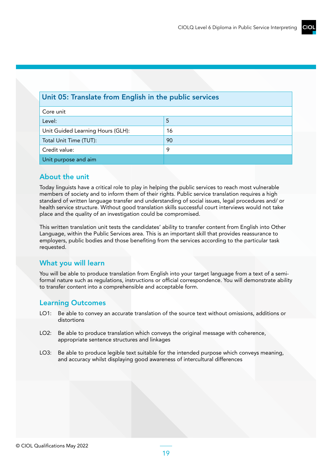## Unit 05: Translate from English in the public services

| Core unit                         |    |
|-----------------------------------|----|
| Level:                            | -5 |
| Unit Guided Learning Hours (GLH): | 16 |
| Total Unit Time (TUT):            | 90 |
| Credit value:                     | 9  |
| Unit purpose and aim              |    |

#### About the unit

Today linguists have a critical role to play in helping the public services to reach most vulnerable members of society and to inform them of their rights. Public service translation requires a high standard of written language transfer and understanding of social issues, legal procedures and/ or health service structure. Without good translation skills successful court interviews would not take place and the quality of an investigation could be compromised.

This written translation unit tests the candidates' ability to transfer content from English into Other Language, within the Public Services area. This is an important skill that provides reassurance to employers, public bodies and those benefiting from the services according to the particular task requested.

## What you will learn

You will be able to produce translation from English into your target language from a text of a semiformal nature such as regulations, instructions or official correspondence. You will demonstrate ability to transfer content into a comprehensible and acceptable form.

- LO1: Be able to convey an accurate translation of the source text without omissions, additions or distortions
- LO2: Be able to produce translation which conveys the original message with coherence, appropriate sentence structures and linkages
- LO3: Be able to produce legible text suitable for the intended purpose which conveys meaning, and accuracy whilst displaying good awareness of intercultural differences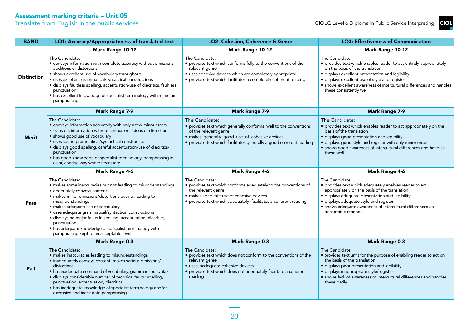| <b>BAND</b>        | LO1: Accuracy/Appropriateness of translated text                                                                                                                                                                                                                                                                                                                                                                                                                                          | LO2: Cohesion, Coherence & Genre                                                                                                                                                                                                     | <b>LO3: Effectiveness of Communication</b>                                                                                                                                                                                                                                                                                       |
|--------------------|-------------------------------------------------------------------------------------------------------------------------------------------------------------------------------------------------------------------------------------------------------------------------------------------------------------------------------------------------------------------------------------------------------------------------------------------------------------------------------------------|--------------------------------------------------------------------------------------------------------------------------------------------------------------------------------------------------------------------------------------|----------------------------------------------------------------------------------------------------------------------------------------------------------------------------------------------------------------------------------------------------------------------------------------------------------------------------------|
|                    | Mark Range 10-12                                                                                                                                                                                                                                                                                                                                                                                                                                                                          | Mark Range 10-12                                                                                                                                                                                                                     | Mark Range 10-12                                                                                                                                                                                                                                                                                                                 |
| <b>Distinction</b> | The Candidate:<br>• conveys information with complete accuracy without omissions,<br>additions or distortions<br>• shows excellent use of vocabulary throughout<br>· uses excellent grammatical/syntactical constructions<br>· displays faultless spelling, accentuation/use of diacritics, faultless<br>punctuation<br>• has excellent knowledge of specialist terminology with minimum<br>paraphrasing                                                                                  | The Candidate:<br>• provides text which conforms fully to the conventions of the<br>relevant genre<br>• uses cohesive devices which are completely appropriate<br>· provides text which facilitates a completely coherent reading    | The Candidate:<br>• provides text which enables reader to act entirely appropriately<br>on the basis of the translation<br>· displays excellent presentation and legibility<br>· displays excellent use of style and register<br>• shows excellent awareness of intercultural differences and handles<br>these consistently well |
|                    | <b>Mark Range 7-9</b>                                                                                                                                                                                                                                                                                                                                                                                                                                                                     | <b>Mark Range 7-9</b>                                                                                                                                                                                                                | <b>Mark Range 7-9</b>                                                                                                                                                                                                                                                                                                            |
| <b>Merit</b>       | The Candidate:<br>• conveys information accurately with only a few minor errors<br>• transfers information without serious omissions or distortions<br>• shows good use of vocabulary<br>· uses sound grammatical/syntactical constructions<br>· displays good spelling, careful accentuation/use of diacritics/<br>punctuation<br>• has good knowledge of specialist terminology, paraphrasing in<br>clear, concise way where necessary                                                  | The Candidate:<br>• provides text which generally conforms well to the conventions<br>of the relevant genre<br>· makes generally good use of cohesive devices<br>• provides text which facilitates generally a good coherent reading | The Candidate:<br>• provides text which enables reader to act appropriately on the<br>basis of the translation<br>· displays good presentation and legibility<br>· displays good style and register with only minor errors<br>• shows good awareness of intercultural differences and handles<br>these well                      |
|                    | <b>Mark Range 4-6</b>                                                                                                                                                                                                                                                                                                                                                                                                                                                                     | <b>Mark Range 4-6</b>                                                                                                                                                                                                                | <b>Mark Range 4-6</b>                                                                                                                                                                                                                                                                                                            |
| Pass               | The Candidate:<br>· makes some inaccuracies but not leading to misunderstandings<br>· adequately conveys content<br>· makes minor omissions/distortions but not leading to<br>misunderstandings<br>· makes adequate use of vocabulary<br>· uses adequate grammatical/syntactical constructions<br>· displays no major faults in spelling, accentuation, diacritics,<br>punctuation<br>• has adequate knowledge of specialist terminology with<br>paraphrasing kept to an acceptable level | The Candidate:<br>• provides text which conforms adequately to the conventions of<br>the relevant genre<br>· makes adequate use of cohesive devices<br>· provides text which adequately facilitates a coherent reading               | The Candidate:<br>· provides text which adequately enables reader to act<br>appropriately on the basis of the translation<br>· displays adequate presentation and legibility<br>· displays adequate style and register<br>• shows adequate awareness of intercultural differences an<br>acceptable manner                        |
|                    | <b>Mark Range 0-3</b>                                                                                                                                                                                                                                                                                                                                                                                                                                                                     | <b>Mark Range 0-3</b>                                                                                                                                                                                                                | <b>Mark Range 0-3</b>                                                                                                                                                                                                                                                                                                            |
| Fail               | The Candidate:<br>· makes inaccuracies leading to misunderstandings<br>· inadequately conveys content, makes serious omissions/<br>distortions<br>• has inadequate command of vocabulary, grammar and syntax<br>· displays considerable number of technical faults: spelling,<br>punctuation, accentuation, diacritics<br>• has inadequate knowledge of specialist terminology and/or<br>excessive and inaccurate paraphrasing                                                            | The Candidate:<br>• provides text which does not conform to the conventions of the<br>relevant genre<br>· uses inadequate cohesive devices<br>• provides text which does not adequately facilitate a coherent<br>reading             | The Candidate:<br>• provides text unfit for the purpose of enabling reader to act on<br>the basis of the translation<br>· displays poor presentation and legibility<br>· displays inappropriate style/register<br>• shows lack of awareness of intercultural differences and handles<br>these badly                              |